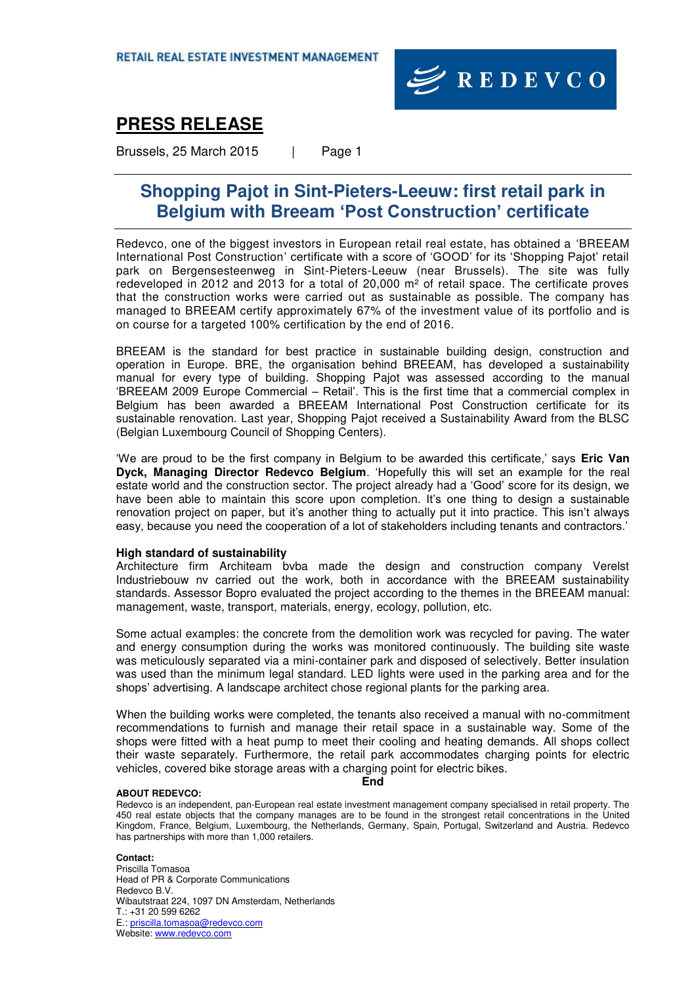

## **PRESS RELEASE**

Brussels, 25 March 2015 | Page 1

## **Shopping Pajot in Sint-Pieters-Leeuw: first retail park in Belgium with Breeam 'Post Construction' certificate**

Redevco, one of the biggest investors in European retail real estate, has obtained a 'BREEAM International Post Construction' certificate with a score of 'GOOD' for its 'Shopping Pajot' retail park on Bergensesteenweg in Sint-Pieters-Leeuw (near Brussels). The site was fully redeveloped in 2012 and 2013 for a total of 20,000 m² of retail space. The certificate proves that the construction works were carried out as sustainable as possible. The company has managed to BREEAM certify approximately 67% of the investment value of its portfolio and is on course for a targeted 100% certification by the end of 2016.

BREEAM is the standard for best practice in sustainable building design, construction and operation in Europe. BRE, the organisation behind BREEAM, has developed a sustainability manual for every type of building. Shopping Pajot was assessed according to the manual 'BREEAM 2009 Europe Commercial – Retail'. This is the first time that a commercial complex in Belgium has been awarded a BREEAM International Post Construction certificate for its sustainable renovation. Last year, Shopping Pajot received a Sustainability Award from the BLSC (Belgian Luxembourg Council of Shopping Centers).

'We are proud to be the first company in Belgium to be awarded this certificate,' says **Eric Van Dyck, Managing Director Redevco Belgium**. 'Hopefully this will set an example for the real estate world and the construction sector. The project already had a 'Good' score for its design, we have been able to maintain this score upon completion. It's one thing to design a sustainable renovation project on paper, but it's another thing to actually put it into practice. This isn't always easy, because you need the cooperation of a lot of stakeholders including tenants and contractors.'

### **High standard of sustainability**

Architecture firm Architeam bvba made the design and construction company Verelst Industriebouw nv carried out the work, both in accordance with the BREEAM sustainability standards. Assessor Bopro evaluated the project according to the themes in the BREEAM manual: management, waste, transport, materials, energy, ecology, pollution, etc.

Some actual examples: the concrete from the demolition work was recycled for paving. The water and energy consumption during the works was monitored continuously. The building site waste was meticulously separated via a mini-container park and disposed of selectively. Better insulation was used than the minimum legal standard. LED lights were used in the parking area and for the shops' advertising. A landscape architect chose regional plants for the parking area.

When the building works were completed, the tenants also received a manual with no-commitment recommendations to furnish and manage their retail space in a sustainable way. Some of the shops were fitted with a heat pump to meet their cooling and heating demands. All shops collect their waste separately. Furthermore, the retail park accommodates charging points for electric vehicles, covered bike storage areas with a charging point for electric bikes.

#### **ABOUT REDEVCO:**

Redevco is an independent, pan-European real estate investment management company specialised in retail property. The 450 real estate objects that the company manages are to be found in the strongest retail concentrations in the United Kingdom, France, Belgium, Luxembourg, the Netherlands, Germany, Spain, Portugal, Switzerland and Austria. Redevco has partnerships with more than 1,000 retailers.

**End** 

#### **Contact:**

Priscilla Tomasoa Head of PR & Corporate Communications Redevco B.V. Wibautstraat 224, 1097 DN Amsterdam, Netherlands T.: +31 20 599 6262 E.[: priscilla.tomasoa@redevco.com](mailto:priscilla.tomasoa@redevco.com) Website[: www.redevco.com](http://www.redevco.com/)